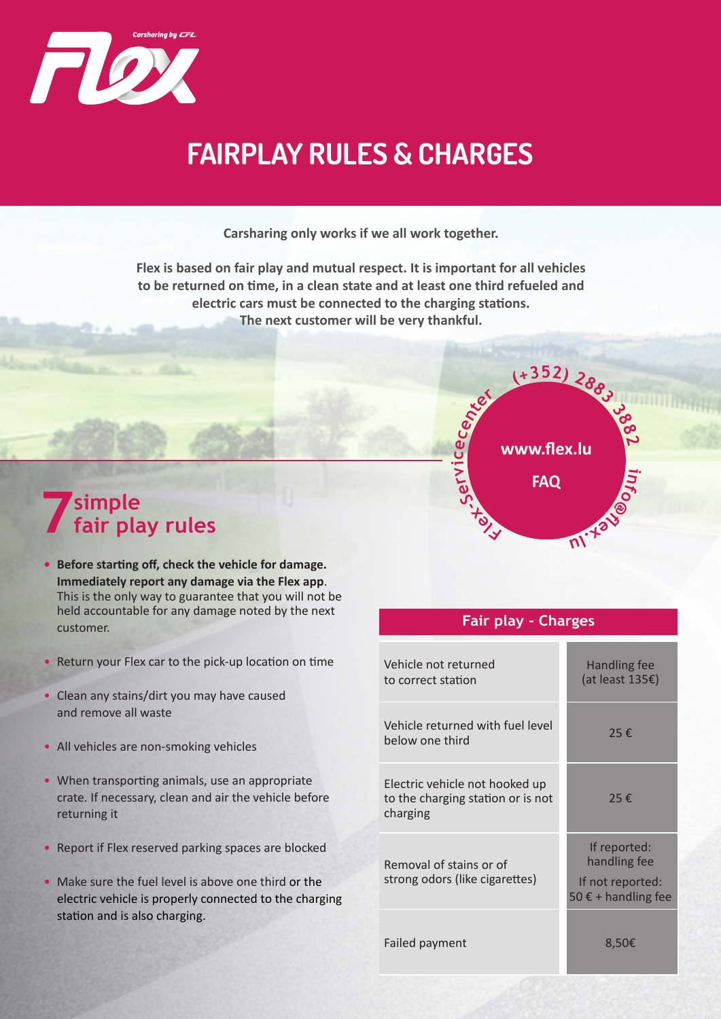

## **FAIRPLAY RULES & CHARGES**

**Carsharing only works if we all work together.**

**Flex is based on fair play and mutual respect. It is important for all vehicles to be returned on time, in a clean state and at least one third refueled and electric cars must be connected to the charging stations. The next customer will be very thankful.**



## **7 simple fair play rules**

- **• Before starting off, check the vehicle for damage. Immediately report any damage via the Flex app**. This is the only way to guarantee that you will not be held accountable for any damage noted by the next customer.
- Return your Flex car to the pick-up location on time
- Clean any stains/dirt you may have caused and remove all waste
- All vehicles are non-smoking vehicles
- When transporting animals, use an appropriate crate. If necessary, clean and air the vehicle before returning it
- Report if Flex reserved parking spaces are blocked
- Make sure the fuel level is above one third or the electric vehicle is properly connected to the charging station and is also charging.

## **Fair play - Charges**

| Vehicle not returned<br>to correct station                                      | Handling fee<br>(at least 135 $\epsilon$ )                                       |
|---------------------------------------------------------------------------------|----------------------------------------------------------------------------------|
| Vehicle returned with fuel level<br>below one third                             | 25€                                                                              |
| Electric vehicle not hooked up<br>to the charging station or is not<br>charging | 25€                                                                              |
| Removal of stains or of<br>strong odors (like cigarettes)                       | If reported:<br>handling fee<br>If not reported:<br>50 $\epsilon$ + handling fee |
| Failed payment                                                                  | 8,50€                                                                            |